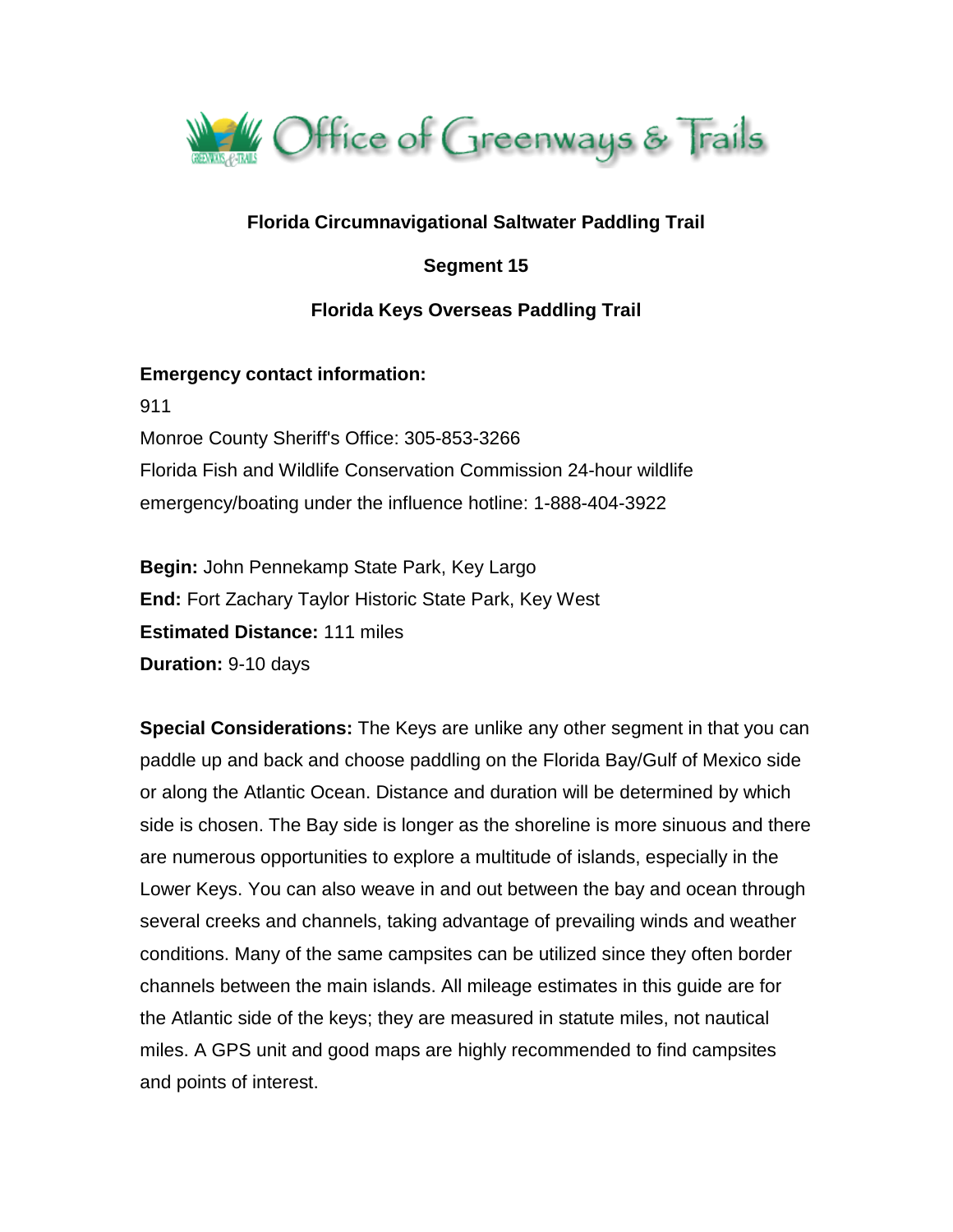

# **Florida Circumnavigational Saltwater Paddling Trail**

**Segment 15**

# **Florida Keys Overseas Paddling Trail**

#### **Emergency contact information:**

911

Monroe County Sheriff's Office: 305-853-3266 Florida Fish and Wildlife Conservation Commission 24-hour wildlife emergency/boating under the influence hotline: 1-888-404-3922

**Begin:** John Pennekamp State Park, Key Largo **End:** Fort Zachary Taylor Historic State Park, Key West **Estimated Distance:** 111 miles **Duration:** 9-10 days

**Special Considerations:** The Keys are unlike any other segment in that you can paddle up and back and choose paddling on the Florida Bay/Gulf of Mexico side or along the Atlantic Ocean. Distance and duration will be determined by which side is chosen. The Bay side is longer as the shoreline is more sinuous and there are numerous opportunities to explore a multitude of islands, especially in the Lower Keys. You can also weave in and out between the bay and ocean through several creeks and channels, taking advantage of prevailing winds and weather conditions. Many of the same campsites can be utilized since they often border channels between the main islands. All mileage estimates in this guide are for the Atlantic side of the keys; they are measured in statute miles, not nautical miles. A GPS unit and good maps are highly recommended to find campsites and points of interest.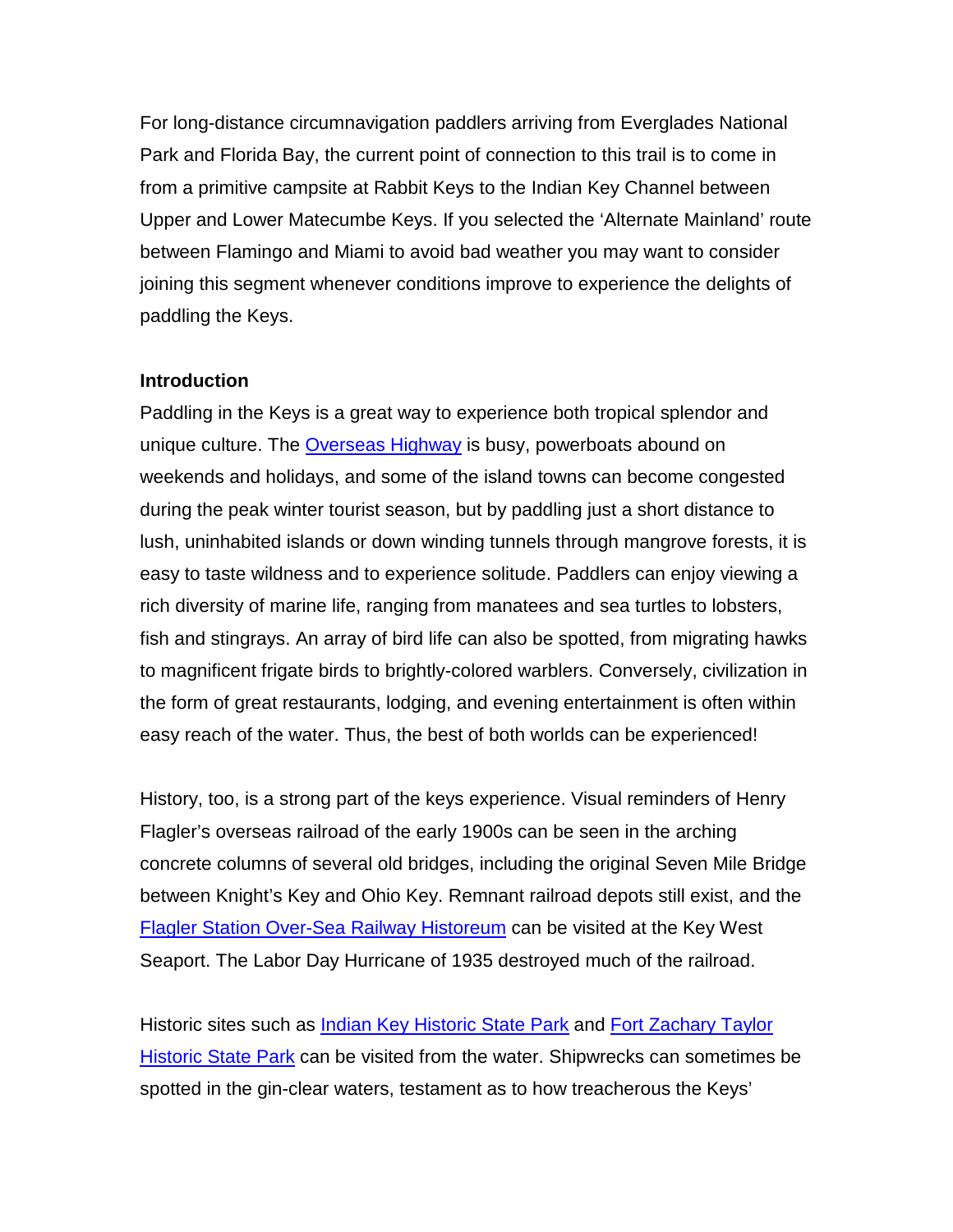For long-distance circumnavigation paddlers arriving from Everglades National Park and Florida Bay, the current point of connection to this trail is to come in from a primitive campsite at Rabbit Keys to the Indian Key Channel between Upper and Lower Matecumbe Keys. If you selected the 'Alternate Mainland' route between Flamingo and Miami to avoid bad weather you may want to consider joining this segment whenever conditions improve to experience the delights of paddling the Keys.

#### **Introduction**

Paddling in the Keys is a great way to experience both tropical splendor and unique culture. The [Overseas Highway](http://www.floridakeys.com/overseashighway.htm) is busy, powerboats abound on weekends and holidays, and some of the island towns can become congested during the peak winter tourist season, but by paddling just a short distance to lush, uninhabited islands or down winding tunnels through mangrove forests, it is easy to taste wildness and to experience solitude. Paddlers can enjoy viewing a rich diversity of marine life, ranging from manatees and sea turtles to lobsters, fish and stingrays. An array of bird life can also be spotted, from migrating hawks to magnificent frigate birds to brightly-colored warblers. Conversely, civilization in the form of great restaurants, lodging, and evening entertainment is often within easy reach of the water. Thus, the best of both worlds can be experienced!

History, too, is a strong part of the keys experience. Visual reminders of Henry Flagler's overseas railroad of the early 1900s can be seen in the arching concrete columns of several old bridges, including the original Seven Mile Bridge between Knight's Key and Ohio Key. Remnant railroad depots still exist, and the [Flagler Station Over-Sea Railway Historeum](http://www.flaglerstation.net/) can be visited at the Key West Seaport. The Labor Day Hurricane of 1935 destroyed much of the railroad.

Historic sites such as *Indian Key Historic State Park* and Fort Zachary Taylor [Historic State Park](https://www.floridastateparks.org/park/Fort-Taylor) can be visited from the water. Shipwrecks can sometimes be spotted in the gin-clear waters, testament as to how treacherous the Keys'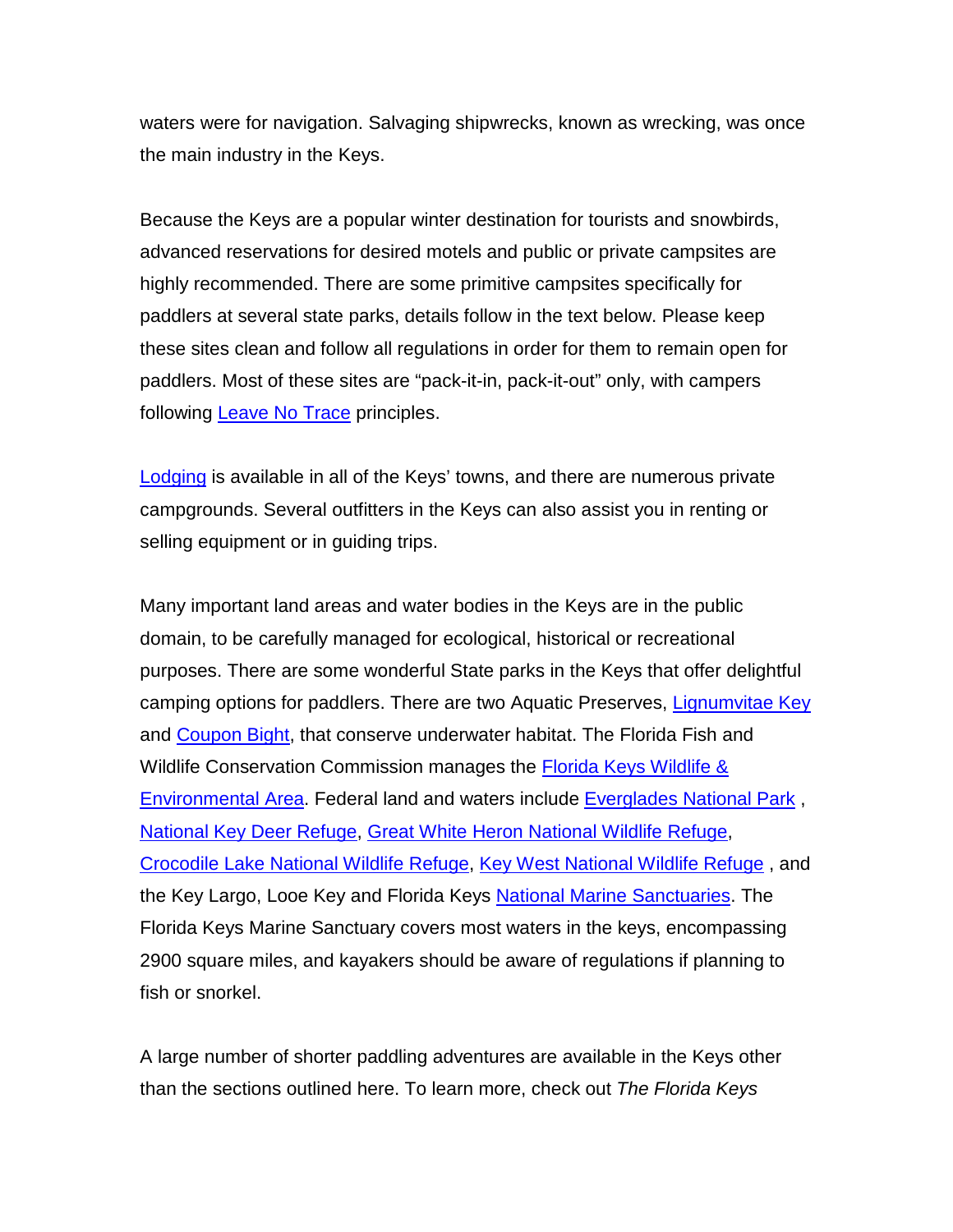waters were for navigation. Salvaging shipwrecks, known as wrecking, was once the main industry in the Keys.

Because the Keys are a popular winter destination for tourists and snowbirds, advanced reservations for desired motels and public or private campsites are highly recommended. There are some primitive campsites specifically for paddlers at several state parks, details follow in the text below. Please keep these sites clean and follow all regulations in order for them to remain open for paddlers. Most of these sites are "pack-it-in, pack-it-out" only, with campers following [Leave No Trace](https://lnt.org/) principles.

[Lodging](http://www.see-florida.com/florida-keys/where-to-stay) is available in all of the Keys' towns, and there are numerous private campgrounds. Several outfitters in the Keys can also assist you in renting or selling equipment or in guiding trips.

Many important land areas and water bodies in the Keys are in the public domain, to be carefully managed for ecological, historical or recreational purposes. There are some wonderful State parks in the Keys that offer delightful camping options for paddlers. There are two Aquatic Preserves, [Lignumvitae Key](http://www.dep.state.fl.us/coastal/sites/lignumvitae/) and [Coupon Bight,](http://www.dep.state.fl.us/coastal/sites/coupon/) that conserve underwater habitat. The Florida Fish and Wildlife Conservation Commission manages the **Florida Keys Wildlife &** [Environmental Area.](http://myfwc.com/viewing/recreation/wmas/lead/florida-keys) Federal land and waters include [Everglades National Park](http://www.nps.gov/ever) , [National Key Deer Refuge,](http://www.fws.gov/nationalkeydeer/) [Great White Heron National Wildlife Refuge,](http://www.fws.gov/nationalkeydeer/greatwhiteheron/) [Crocodile Lake National Wildlife Refuge,](http://www.fws.gov/nationalkeydeer/crocodilelake/) [Key West National Wildlife Refuge](http://www.fws.gov/nationalkeydeer/keywest/) , and the Key Largo, Looe Key and Florida Keys [National Marine Sanctuaries.](http://floridakeys.noaa.gov/welcome.html) The Florida Keys Marine Sanctuary covers most waters in the keys, encompassing 2900 square miles, and kayakers should be aware of regulations if planning to fish or snorkel.

A large number of shorter paddling adventures are available in the Keys other than the sections outlined here. To learn more, check out *The Florida Keys*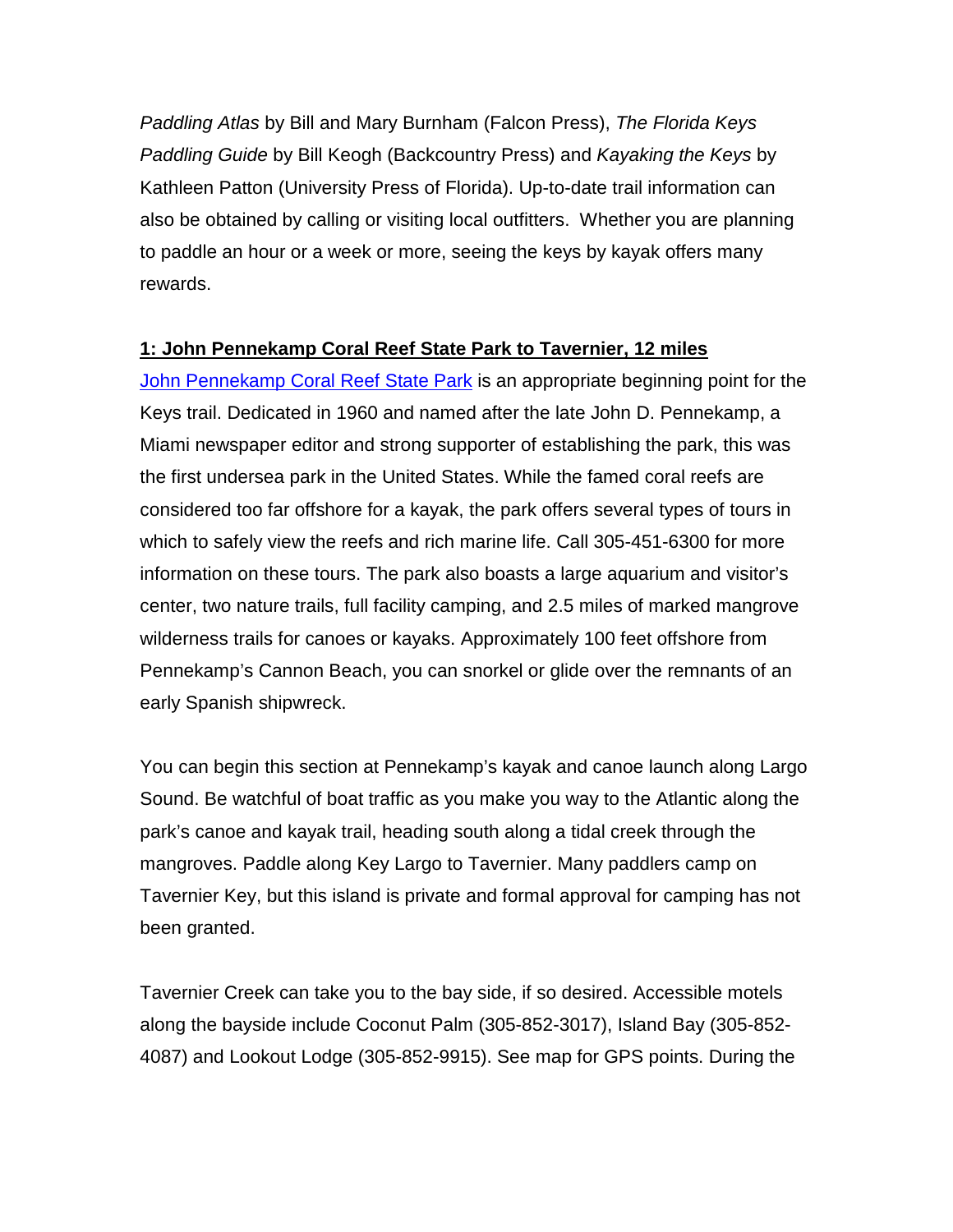*Paddling Atlas* by Bill and Mary Burnham (Falcon Press), *The Florida Keys Paddling Guide* by Bill Keogh (Backcountry Press) and *Kayaking the Keys* by Kathleen Patton (University Press of Florida). Up-to-date trail information can also be obtained by calling or visiting local outfitters. Whether you are planning to paddle an hour or a week or more, seeing the keys by kayak offers many rewards.

#### **1: John Pennekamp Coral Reef State Park to Tavernier, 12 miles**

[John Pennekamp Coral Reef State Park](https://www.floridastateparks.org/park/Pennekamp) is an appropriate beginning point for the Keys trail. Dedicated in 1960 and named after the late John D. Pennekamp, a Miami newspaper editor and strong supporter of establishing the park, this was the first undersea park in the United States. While the famed coral reefs are considered too far offshore for a kayak, the park offers several types of tours in which to safely view the reefs and rich marine life. Call 305-451-6300 for more information on these tours. The park also boasts a large aquarium and visitor's center, two nature trails, full facility camping, and 2.5 miles of marked mangrove wilderness trails for canoes or kayaks. Approximately 100 feet offshore from Pennekamp's Cannon Beach, you can snorkel or glide over the remnants of an early Spanish shipwreck.

You can begin this section at Pennekamp's kayak and canoe launch along Largo Sound. Be watchful of boat traffic as you make you way to the Atlantic along the park's canoe and kayak trail, heading south along a tidal creek through the mangroves. Paddle along Key Largo to Tavernier. Many paddlers camp on Tavernier Key, but this island is private and formal approval for camping has not been granted.

Tavernier Creek can take you to the bay side, if so desired. Accessible motels along the bayside include Coconut Palm (305-852-3017), Island Bay (305-852- 4087) and Lookout Lodge (305-852-9915). See map for GPS points. During the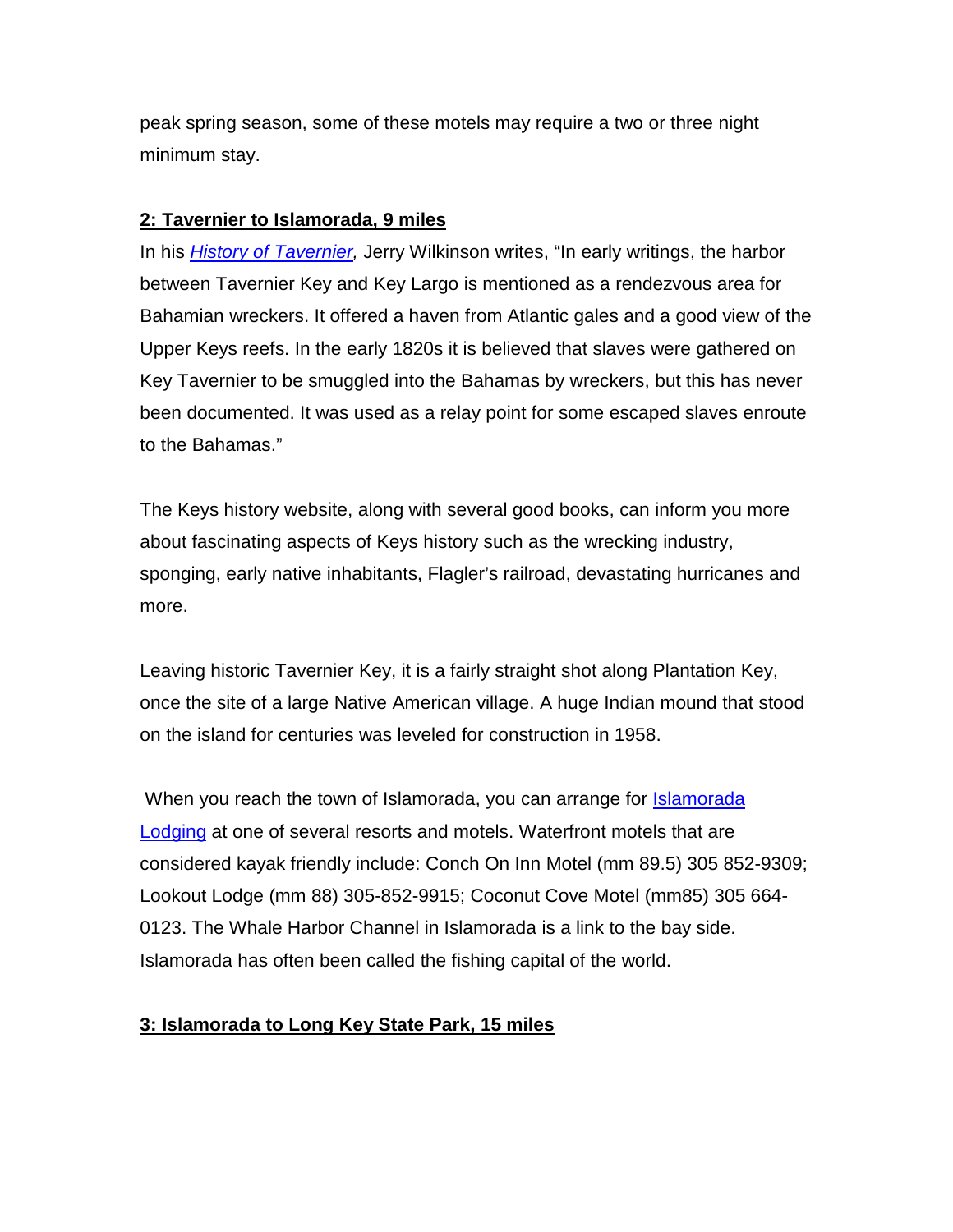peak spring season, some of these motels may require a two or three night minimum stay.

# **2: Tavernier to Islamorada, 9 miles**

In his *[History of Tavernier,](http://www.keyshistory.org/)* Jerry Wilkinson writes, "In early writings, the harbor between Tavernier Key and Key Largo is mentioned as a rendezvous area for Bahamian wreckers. It offered a haven from Atlantic gales and a good view of the Upper Keys reefs. In the early 1820s it is believed that slaves were gathered on Key Tavernier to be smuggled into the Bahamas by wreckers, but this has never been documented. It was used as a relay point for some escaped slaves enroute to the Bahamas."

The Keys history website, along with several good books, can inform you more about fascinating aspects of Keys history such as the wrecking industry, sponging, early native inhabitants, Flagler's railroad, devastating hurricanes and more.

Leaving historic Tavernier Key, it is a fairly straight shot along Plantation Key, once the site of a large Native American village. A huge Indian mound that stood on the island for centuries was leveled for construction in 1958.

When you reach the town of Islamorada, you can arrange for [Islamorada](http://www.islamoradachamber.com/islamoradalodging.cfm#.VKP6fU10x6m)  [Lodging](http://www.islamoradachamber.com/islamoradalodging.cfm#.VKP6fU10x6m) at one of several resorts and motels. Waterfront motels that are considered kayak friendly include: Conch On Inn Motel (mm 89.5) 305 852-9309; Lookout Lodge (mm 88) 305-852-9915; Coconut Cove Motel (mm85) 305 664- 0123. The Whale Harbor Channel in Islamorada is a link to the bay side. Islamorada has often been called the fishing capital of the world.

# **3: Islamorada to Long Key State Park, 15 miles**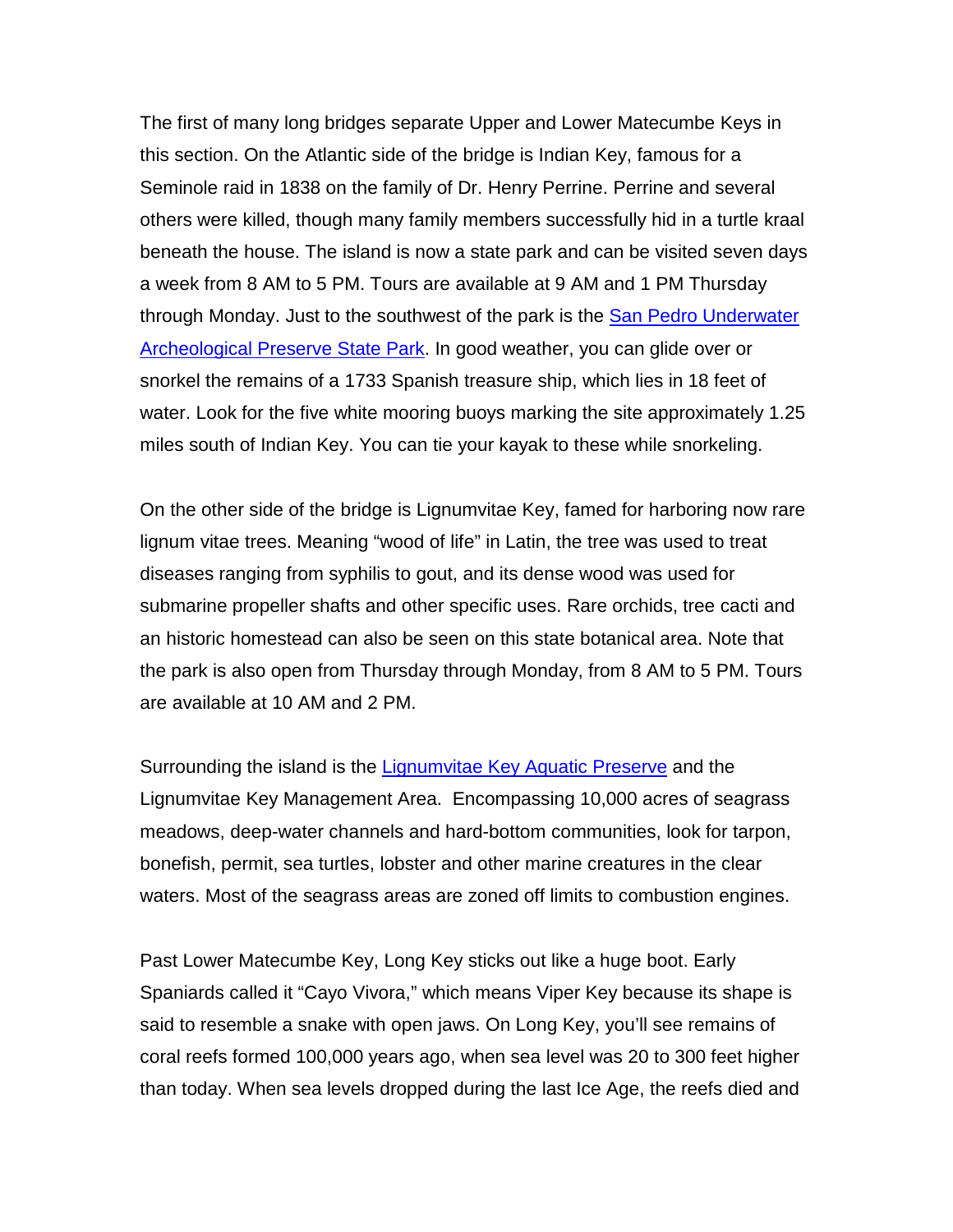The first of many long bridges separate Upper and Lower Matecumbe Keys in this section. On the Atlantic side of the bridge is Indian Key, famous for a Seminole raid in 1838 on the family of Dr. Henry Perrine. Perrine and several others were killed, though many family members successfully hid in a turtle kraal beneath the house. The island is now a state park and can be visited seven days a week from 8 AM to 5 PM. Tours are available at 9 AM and 1 PM Thursday through Monday. Just to the southwest of the park is the [San Pedro Underwater](http://www.floridastateparks.org/sanpedro/)  [Archeological Preserve State Park.](http://www.floridastateparks.org/sanpedro/) In good weather, you can glide over or snorkel the remains of a 1733 Spanish treasure ship, which lies in 18 feet of water. Look for the five white mooring buoys marking the site approximately 1.25 miles south of Indian Key. You can tie your kayak to these while snorkeling.

On the other side of the bridge is Lignumvitae Key, famed for harboring now rare lignum vitae trees. Meaning "wood of life" in Latin, the tree was used to treat diseases ranging from syphilis to gout, and its dense wood was used for submarine propeller shafts and other specific uses. Rare orchids, tree cacti and an historic homestead can also be seen on this state botanical area. Note that the park is also open from Thursday through Monday, from 8 AM to 5 PM. Tours are available at 10 AM and 2 PM.

Surrounding the island is the [Lignumvitae Key Aquatic Preserve](http://www.dep.state.fl.us/coastal/sites/lignumvitae/info.htm) and the Lignumvitae Key Management Area. Encompassing 10,000 acres of seagrass meadows, deep-water channels and hard-bottom communities, look for tarpon, bonefish, permit, sea turtles, lobster and other marine creatures in the clear waters. Most of the seagrass areas are zoned off limits to combustion engines.

Past Lower Matecumbe Key, Long Key sticks out like a huge boot. Early Spaniards called it "Cayo Vivora," which means Viper Key because its shape is said to resemble a snake with open jaws. On Long Key, you'll see remains of coral reefs formed 100,000 years ago, when sea level was 20 to 300 feet higher than today. When sea levels dropped during the last Ice Age, the reefs died and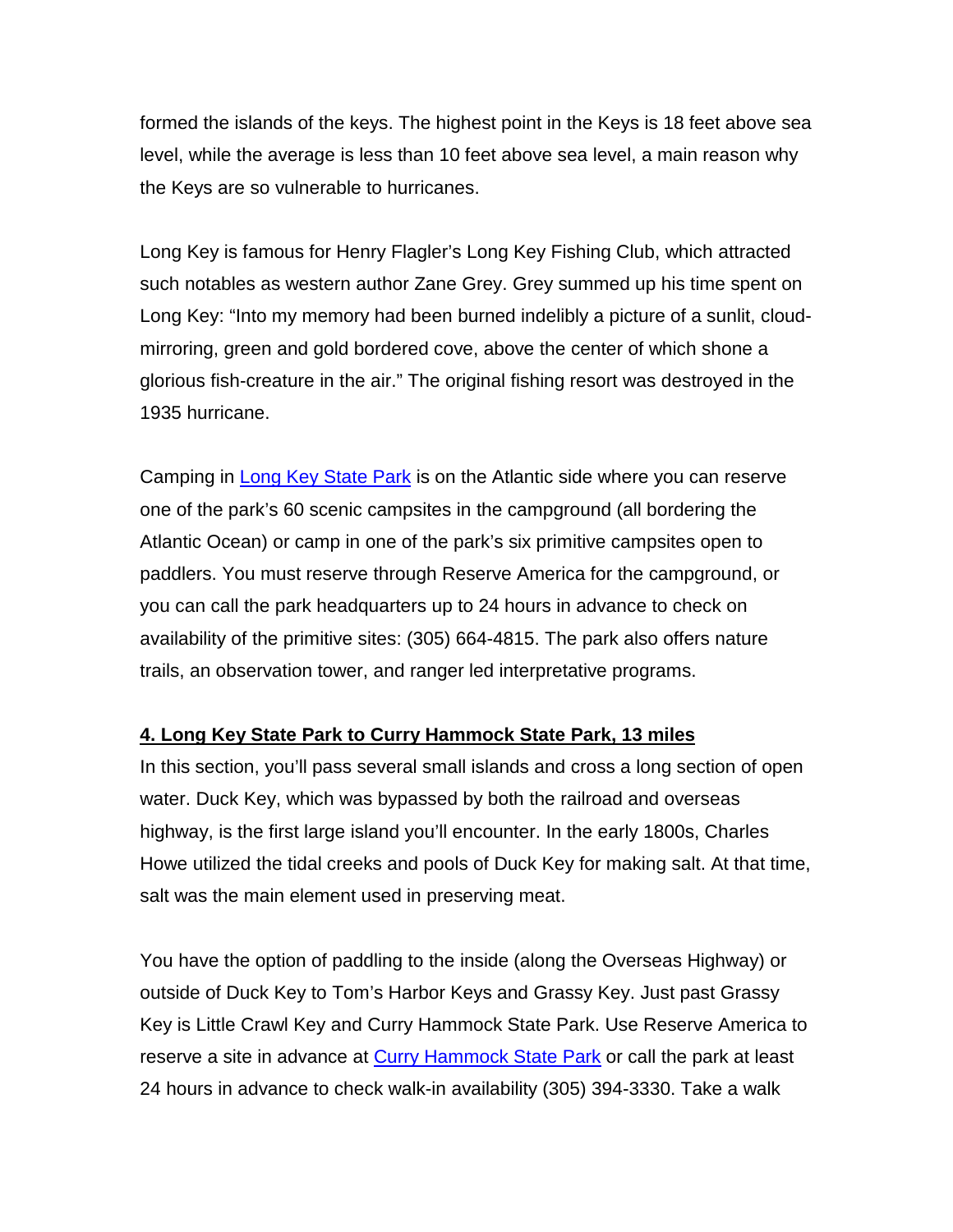formed the islands of the keys. The highest point in the Keys is 18 feet above sea level, while the average is less than 10 feet above sea level, a main reason why the Keys are so vulnerable to hurricanes.

Long Key is famous for Henry Flagler's Long Key Fishing Club, which attracted such notables as western author Zane Grey. Grey summed up his time spent on Long Key: "Into my memory had been burned indelibly a picture of a sunlit, cloudmirroring, green and gold bordered cove, above the center of which shone a glorious fish-creature in the air." The original fishing resort was destroyed in the 1935 hurricane.

Camping in [Long Key State Park](https://www.floridastateparks.org/park/Long-Key) is on the Atlantic side where you can reserve one of the park's 60 scenic campsites in the campground (all bordering the Atlantic Ocean) or camp in one of the park's six primitive campsites open to paddlers. You must reserve through Reserve America for the campground, or you can call the park headquarters up to 24 hours in advance to check on availability of the primitive sites: (305) 664-4815. The park also offers nature trails, an observation tower, and ranger led interpretative programs.

# **4. Long Key State Park to Curry Hammock State Park, 13 miles**

In this section, you'll pass several small islands and cross a long section of open water. Duck Key, which was bypassed by both the railroad and overseas highway, is the first large island you'll encounter. In the early 1800s, Charles Howe utilized the tidal creeks and pools of Duck Key for making salt. At that time, salt was the main element used in preserving meat.

You have the option of paddling to the inside (along the Overseas Highway) or outside of Duck Key to Tom's Harbor Keys and Grassy Key. Just past Grassy Key is Little Crawl Key and Curry Hammock State Park. Use Reserve America to reserve a site in advance at [Curry Hammock State Park](https://www.floridastateparks.org/park/Curry-Hammock) or call the park at least 24 hours in advance to check walk-in availability (305) 394-3330. Take a walk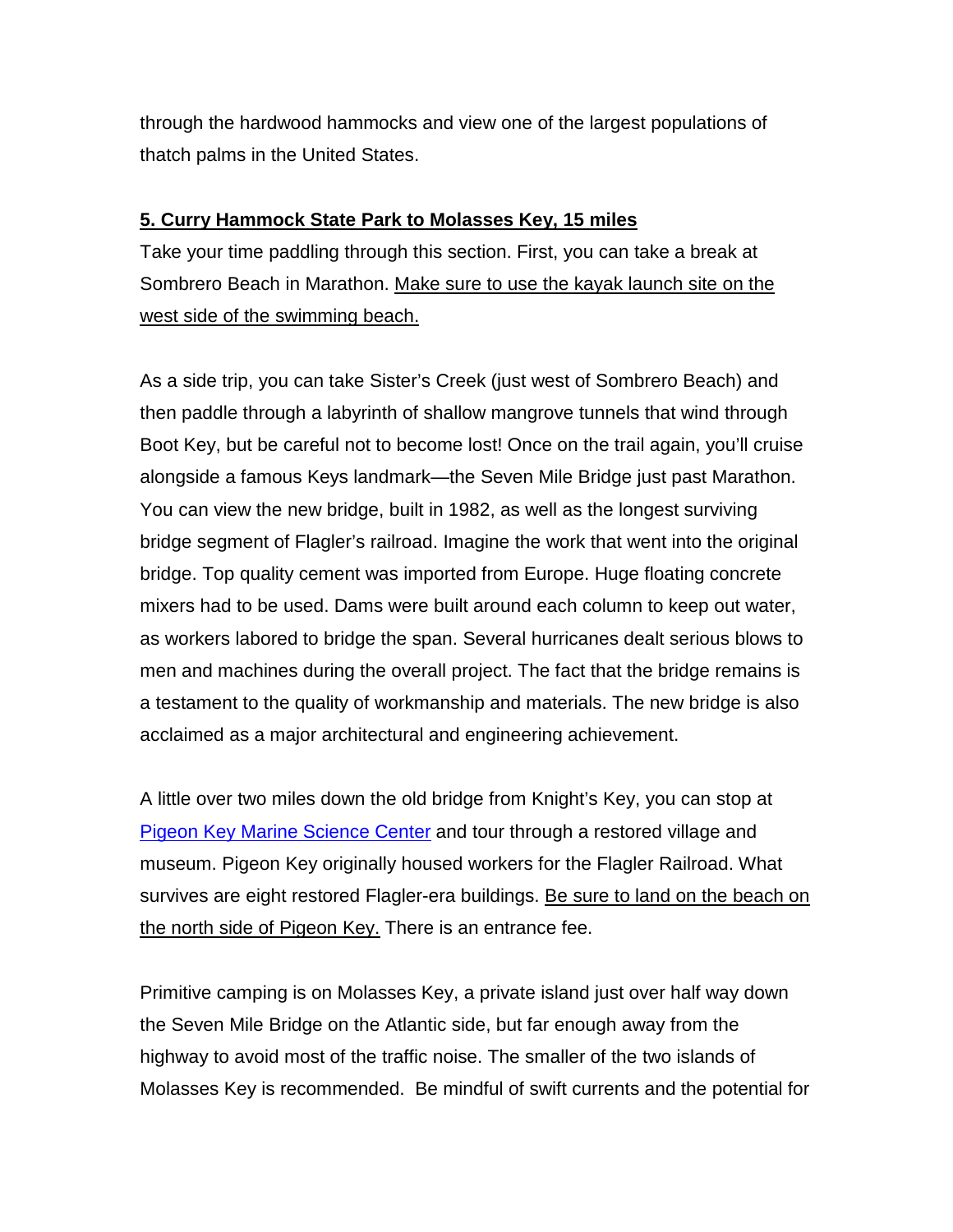through the hardwood hammocks and view one of the largest populations of thatch palms in the United States.

#### **5. Curry Hammock State Park to Molasses Key, 15 miles**

Take your time paddling through this section. First, you can take a break at Sombrero Beach in Marathon. Make sure to use the kayak launch site on the west side of the swimming beach.

As a side trip, you can take Sister's Creek (just west of Sombrero Beach) and then paddle through a labyrinth of shallow mangrove tunnels that wind through Boot Key, but be careful not to become lost! Once on the trail again, you'll cruise alongside a famous Keys landmark—the Seven Mile Bridge just past Marathon. You can view the new bridge, built in 1982, as well as the longest surviving bridge segment of Flagler's railroad. Imagine the work that went into the original bridge. Top quality cement was imported from Europe. Huge floating concrete mixers had to be used. Dams were built around each column to keep out water, as workers labored to bridge the span. Several hurricanes dealt serious blows to men and machines during the overall project. The fact that the bridge remains is a testament to the quality of workmanship and materials. The new bridge is also acclaimed as a major architectural and engineering achievement.

A little over two miles down the old bridge from Knight's Key, you can stop at [Pigeon Key Marine Science Center](http://www.pigeonkey.net/) and tour through a restored village and museum. Pigeon Key originally housed workers for the Flagler Railroad. What survives are eight restored Flagler-era buildings. Be sure to land on the beach on the north side of Pigeon Key. There is an entrance fee.

Primitive camping is on Molasses Key, a private island just over half way down the Seven Mile Bridge on the Atlantic side, but far enough away from the highway to avoid most of the traffic noise. The smaller of the two islands of Molasses Key is recommended. Be mindful of swift currents and the potential for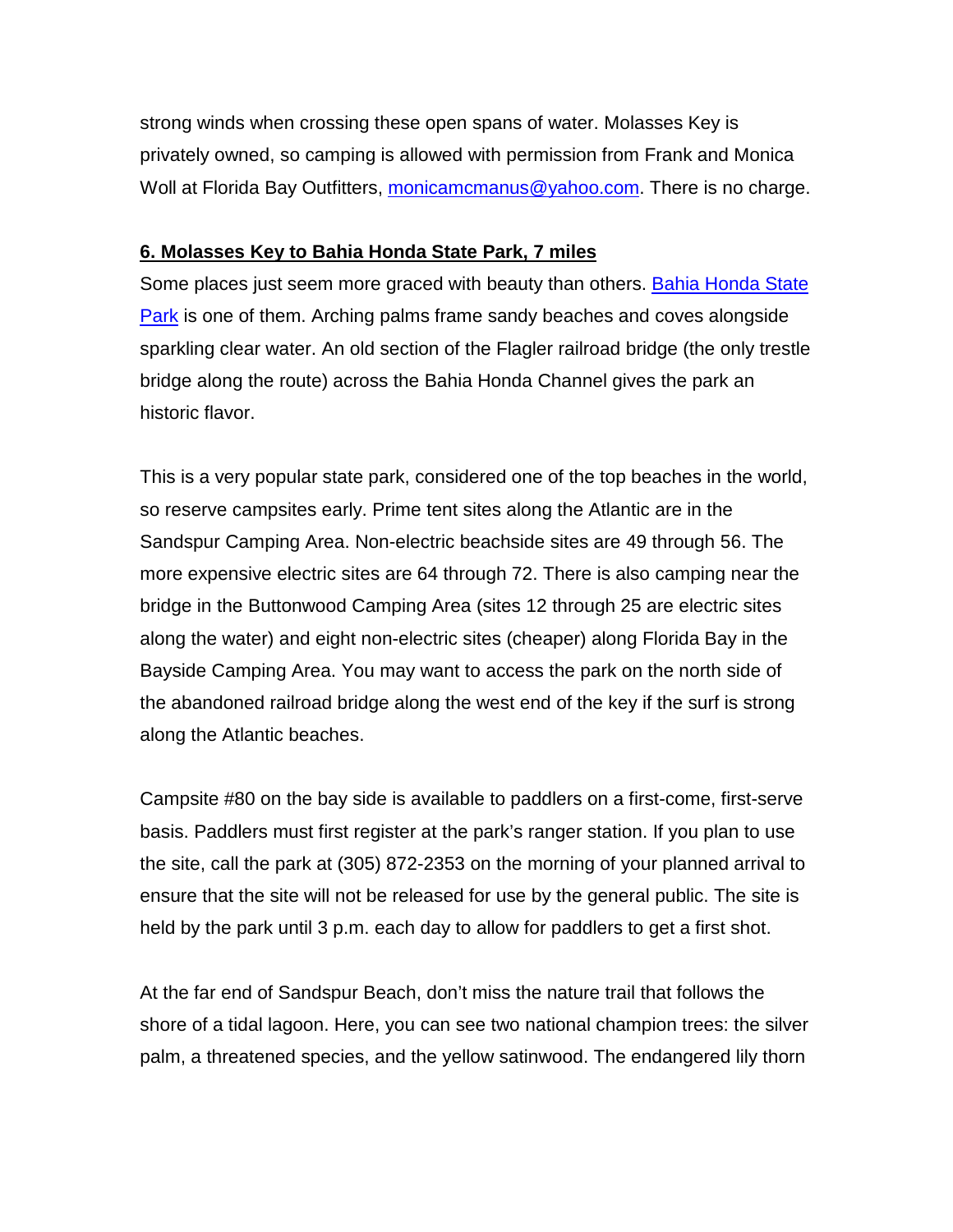strong winds when crossing these open spans of water. Molasses Key is privately owned, so camping is allowed with permission from Frank and Monica Woll at Florida Bay Outfitters, [monicamcmanus@yahoo.com.](mailto:monicamcmanus@yahoo.com) There is no charge.

#### **6. Molasses Key to Bahia Honda State Park, 7 miles**

Some places just seem more graced with beauty than others. [Bahia Honda State](https://www.floridastateparks.org/park/Bahia-Honda)  [Park](https://www.floridastateparks.org/park/Bahia-Honda) is one of them. Arching palms frame sandy beaches and coves alongside sparkling clear water. An old section of the Flagler railroad bridge (the only trestle bridge along the route) across the Bahia Honda Channel gives the park an historic flavor.

This is a very popular state park, considered one of the top beaches in the world, so reserve campsites early. Prime tent sites along the Atlantic are in the Sandspur Camping Area. Non-electric beachside sites are 49 through 56. The more expensive electric sites are 64 through 72. There is also camping near the bridge in the Buttonwood Camping Area (sites 12 through 25 are electric sites along the water) and eight non-electric sites (cheaper) along Florida Bay in the Bayside Camping Area. You may want to access the park on the north side of the abandoned railroad bridge along the west end of the key if the surf is strong along the Atlantic beaches.

Campsite #80 on the bay side is available to paddlers on a first-come, first-serve basis. Paddlers must first register at the park's ranger station. If you plan to use the site, call the park at (305) 872-2353 on the morning of your planned arrival to ensure that the site will not be released for use by the general public. The site is held by the park until 3 p.m. each day to allow for paddlers to get a first shot.

At the far end of Sandspur Beach, don't miss the nature trail that follows the shore of a tidal lagoon. Here, you can see two national champion trees: the silver palm, a threatened species, and the yellow satinwood. The endangered lily thorn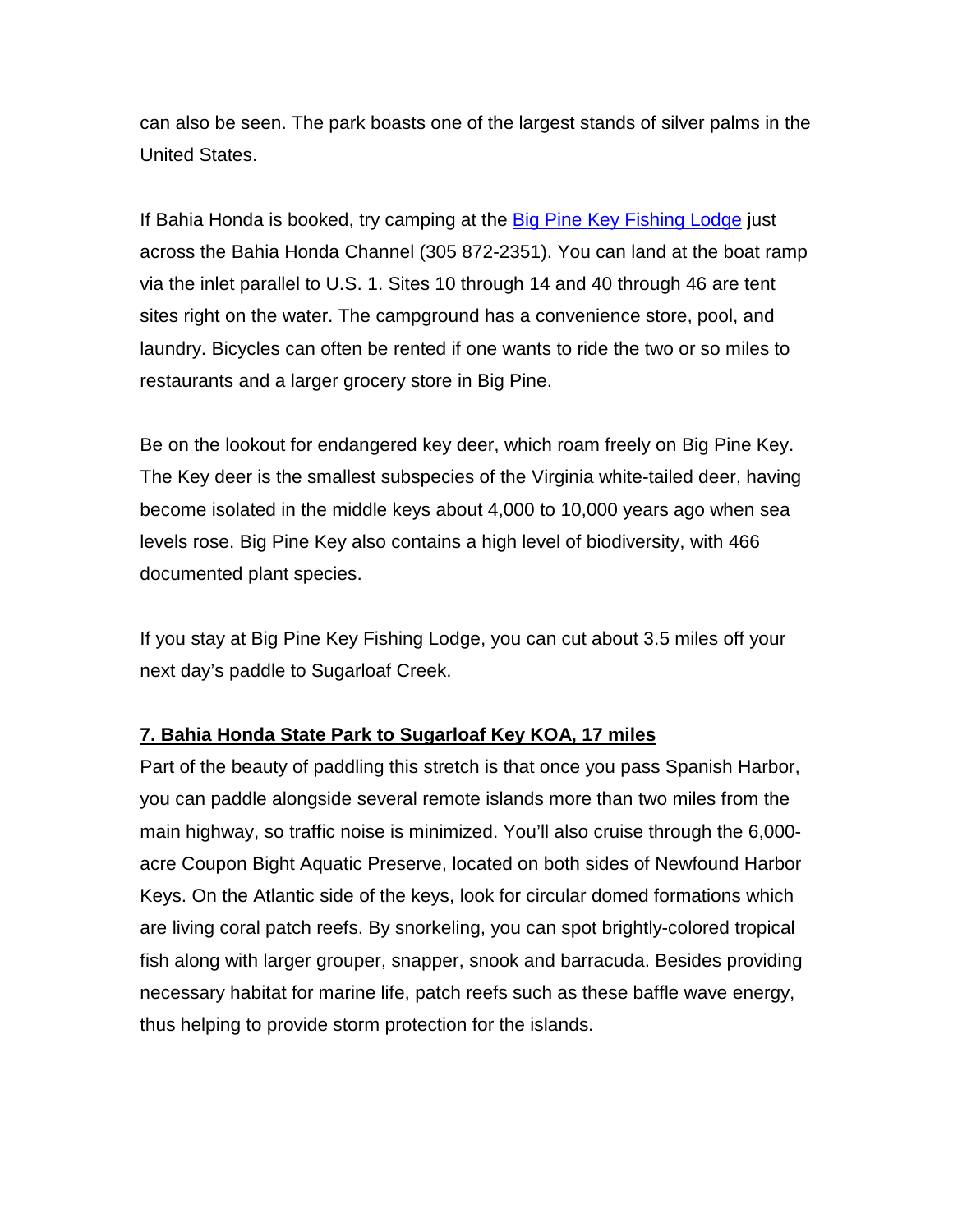can also be seen. The park boasts one of the largest stands of silver palms in the United States.

If Bahia Honda is booked, try camping at the [Big Pine Key Fishing Lodge](http://www.big-pine-key.com/fishinglodge.php) just across the Bahia Honda Channel (305 872-2351). You can land at the boat ramp via the inlet parallel to U.S. 1. Sites 10 through 14 and 40 through 46 are tent sites right on the water. The campground has a convenience store, pool, and laundry. Bicycles can often be rented if one wants to ride the two or so miles to restaurants and a larger grocery store in Big Pine.

Be on the lookout for endangered key deer, which roam freely on Big Pine Key. The Key deer is the smallest subspecies of the Virginia white-tailed deer, having become isolated in the middle keys about 4,000 to 10,000 years ago when sea levels rose. Big Pine Key also contains a high level of biodiversity, with 466 documented plant species.

If you stay at Big Pine Key Fishing Lodge, you can cut about 3.5 miles off your next day's paddle to Sugarloaf Creek.

# **7. Bahia Honda State Park to Sugarloaf Key KOA, 17 miles**

Part of the beauty of paddling this stretch is that once you pass Spanish Harbor, you can paddle alongside several remote islands more than two miles from the main highway, so traffic noise is minimized. You'll also cruise through the 6,000 acre Coupon Bight Aquatic Preserve, located on both sides of Newfound Harbor Keys. On the Atlantic side of the keys, look for circular domed formations which are living coral patch reefs. By snorkeling, you can spot brightly-colored tropical fish along with larger grouper, snapper, snook and barracuda. Besides providing necessary habitat for marine life, patch reefs such as these baffle wave energy, thus helping to provide storm protection for the islands.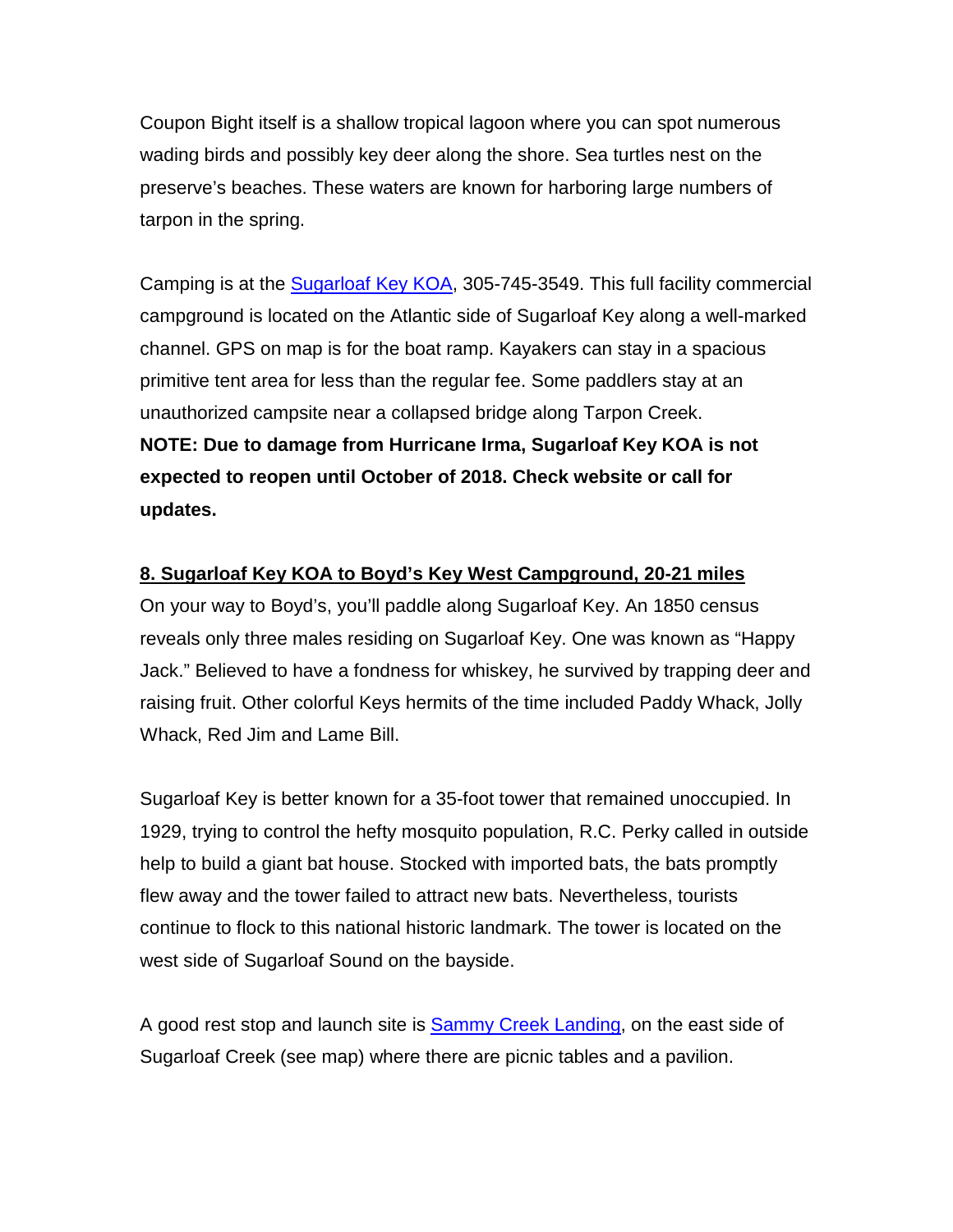Coupon Bight itself is a shallow tropical lagoon where you can spot numerous wading birds and possibly key deer along the shore. Sea turtles nest on the preserve's beaches. These waters are known for harboring large numbers of tarpon in the spring.

Camping is at the [Sugarloaf Key KOA,](http://koa.com/campgrounds/sugarloaf-key/) 305-745-3549. This full facility commercial campground is located on the Atlantic side of Sugarloaf Key along a well-marked channel. GPS on map is for the boat ramp. Kayakers can stay in a spacious primitive tent area for less than the regular fee. Some paddlers stay at an unauthorized campsite near a collapsed bridge along Tarpon Creek. **NOTE: Due to damage from Hurricane Irma, Sugarloaf Key KOA is not expected to reopen until October of 2018. Check website or call for updates.**

#### **8. Sugarloaf Key KOA to Boyd's Key West Campground, 20-21 miles**

On your way to Boyd's, you'll paddle along Sugarloaf Key. An 1850 census reveals only three males residing on Sugarloaf Key. One was known as "Happy Jack." Believed to have a fondness for whiskey, he survived by trapping deer and raising fruit. Other colorful Keys hermits of the time included Paddy Whack, Jolly Whack, Red Jim and Lame Bill.

Sugarloaf Key is better known for a 35-foot tower that remained unoccupied. In 1929, trying to control the hefty mosquito population, R.C. Perky called in outside help to build a giant bat house. Stocked with imported bats, the bats promptly flew away and the tower failed to attract new bats. Nevertheless, tourists continue to flock to this national historic landmark. The tower is located on the west side of Sugarloaf Sound on the bayside.

A good rest stop and launch site is [Sammy Creek Landing,](http://myfwc.com/viewing/recreation/wmas/lead/florida-keys/visitor-information/on) on the east side of Sugarloaf Creek (see map) where there are picnic tables and a pavilion.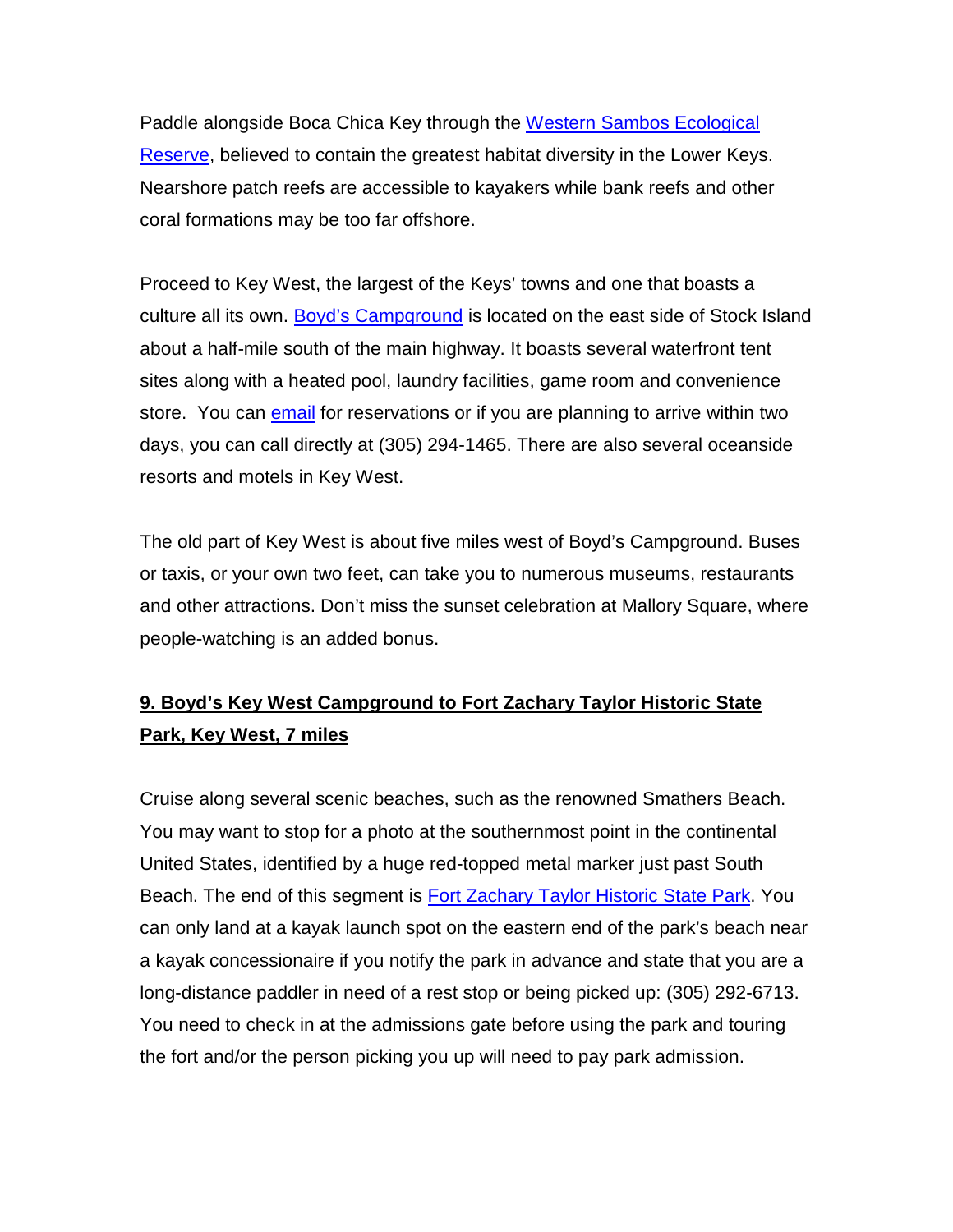Paddle alongside Boca Chica Key through the [Western Sambos Ecological](http://floridakeys.noaa.gov/zones/ers/westernsambo.html)  [Reserve,](http://floridakeys.noaa.gov/zones/ers/westernsambo.html) believed to contain the greatest habitat diversity in the Lower Keys. Nearshore patch reefs are accessible to kayakers while bank reefs and other coral formations may be too far offshore.

Proceed to Key West, the largest of the Keys' towns and one that boasts a culture all its own. [Boyd's Campground](http://www.boydscampground.com/) is located on the east side of Stock Island about a half-mile south of the main highway. It boasts several waterfront tent sites along with a heated pool, laundry facilities, game room and convenience store. You can [email](https://secure.floridakeys.com/boyds/reservations.cfm?_ga=1.69904016.1481468993.1440617697) for reservations or if you are planning to arrive within two days, you can call directly at (305) 294-1465. There are also several oceanside resorts and motels in Key West.

The old part of Key West is about five miles west of Boyd's Campground. Buses or taxis, or your own two feet, can take you to numerous museums, restaurants and other attractions. Don't miss the sunset celebration at Mallory Square, where people-watching is an added bonus.

# **9. Boyd's Key West Campground to Fort Zachary Taylor Historic State Park, Key West, 7 miles**

Cruise along several scenic beaches, such as the renowned Smathers Beach. You may want to stop for a photo at the southernmost point in the continental United States, identified by a huge red-topped metal marker just past South Beach. The end of this segment is [Fort Zachary Taylor Historic State Park.](https://www.floridastateparks.org/park/Fort-Taylor) You can only land at a kayak launch spot on the eastern end of the park's beach near a kayak concessionaire if you notify the park in advance and state that you are a long-distance paddler in need of a rest stop or being picked up: (305) 292-6713. You need to check in at the admissions gate before using the park and touring the fort and/or the person picking you up will need to pay park admission.